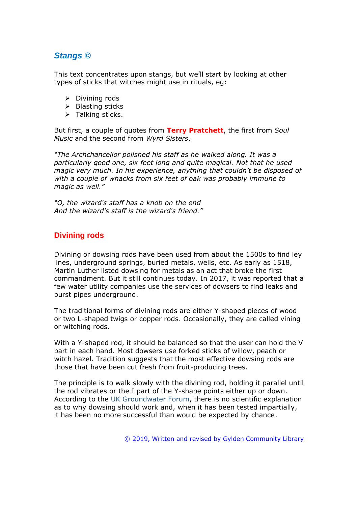# *Stangs ©*

This text concentrates upon stangs, but we'll start by looking at other types of sticks that witches might use in rituals, eg:

- ➢ Divining rods
- ➢ Blasting sticks
- ➢ Talking sticks.

But first, a couple of quotes from **Terry Pratchett**, the first from *Soul Music* and the second from *Wyrd Sisters*.

*"The Archchancellor polished his staff as he walked along. It was a particularly good one, six feet long and quite magical. Not that he used magic very much. In his experience, anything that couldn't be disposed of with a couple of whacks from six feet of oak was probably immune to magic as well."*

*"O, the wizard's staff has a knob on the end And the wizard's staff is the wizard's friend."*

## **Divining rods**

Divining or dowsing rods have been used from about the 1500s to find ley lines, underground springs, buried metals, wells, etc. As early as 1518, Martin Luther listed dowsing for metals as an act that broke the first commandment. But it still continues today. In 2017, it was reported that a few water utility companies use the services of dowsers to find leaks and burst pipes underground.

The traditional forms of divining rods are either Y-shaped pieces of wood or two L-shaped twigs or copper rods. Occasionally, they are called vining or witching rods.

With a Y-shaped rod, it should be balanced so that the user can hold the V part in each hand. Most dowsers use forked sticks of willow, peach or witch hazel. Tradition suggests that the most effective dowsing rods are those that have been cut fresh from fruit-producing trees.

The principle is to walk slowly with the divining rod, holding it parallel until the rod vibrates or the I part of the Y-shape points either up or down. According to the UK Groundwater Forum, there is no scientific explanation as to why dowsing should work and, when it has been tested impartially, it has been no more successful than would be expected by chance.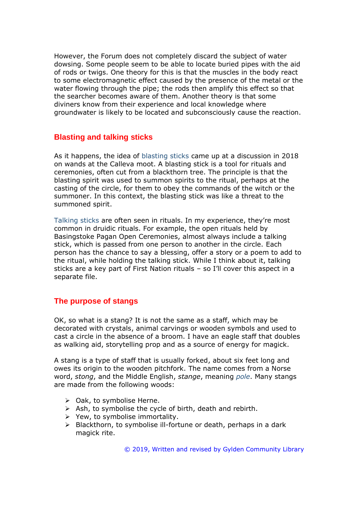However, the Forum does not completely discard the subject of water dowsing. Some people seem to be able to locate buried pipes with the aid of rods or twigs. One theory for this is that the muscles in the body react to some electromagnetic effect caused by the presence of the metal or the water flowing through the pipe; the rods then amplify this effect so that the searcher becomes aware of them. Another theory is that some diviners know from their experience and local knowledge where groundwater is likely to be located and subconsciously cause the reaction.

#### **Blasting and talking sticks**

As it happens, the idea of blasting sticks came up at a discussion in 2018 on wands at the Calleva moot. A blasting stick is a tool for rituals and ceremonies, often cut from a blackthorn tree. The principle is that the blasting spirit was used to summon spirits to the ritual, perhaps at the casting of the circle, for them to obey the commands of the witch or the summoner. In this context, the blasting stick was like a threat to the summoned spirit.

Talking sticks are often seen in rituals. In my experience, they're most common in druidic rituals. For example, the open rituals held by Basingstoke Pagan Open Ceremonies, almost always include a talking stick, which is passed from one person to another in the circle. Each person has the chance to say a blessing, offer a story or a poem to add to the ritual, while holding the talking stick. While I think about it, talking sticks are a key part of First Nation rituals – so I'll cover this aspect in a separate file.

### **The purpose of stangs**

OK, so what is a stang? It is not the same as a staff, which may be decorated with crystals, animal carvings or wooden symbols and used to cast a circle in the absence of a broom. I have an eagle staff that doubles as walking aid, storytelling prop and as a source of energy for magick.

A stang is a type of staff that is usually forked, about six feet long and owes its origin to the wooden pitchfork. The name comes from a Norse word, *stong*, and the Middle English, *stange*, meaning *pole*. Many stangs are made from the following woods:

- ➢ Oak, to symbolise Herne.
- $\triangleright$  Ash, to symbolise the cycle of birth, death and rebirth.
- $\triangleright$  Yew, to symbolise immortality.
- ➢ Blackthorn, to symbolise ill-fortune or death, perhaps in a dark magick rite.

© 2019, Written and revised by Gylden Community Library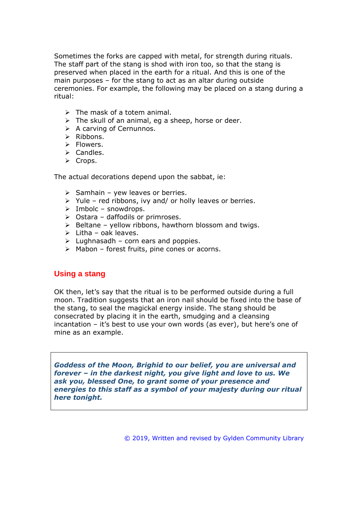Sometimes the forks are capped with metal, for strength during rituals. The staff part of the stang is shod with iron too, so that the stang is preserved when placed in the earth for a ritual. And this is one of the main purposes – for the stang to act as an altar during outside ceremonies. For example, the following may be placed on a stang during a ritual:

- $\triangleright$  The mask of a totem animal.
- $\triangleright$  The skull of an animal, eg a sheep, horse or deer.
- $\triangleright$  A carving of Cernunnos.
- ➢ Ribbons.
- ➢ Flowers.
- ➢ Candles.
- ➢ Crops.

The actual decorations depend upon the sabbat, ie:

- $\triangleright$  Samhain yew leaves or berries.
- $\triangleright$  Yule red ribbons, ivy and/ or holly leaves or berries.
- $\triangleright$  Imbolc snowdrops.
- $\triangleright$  Ostara daffodils or primroses.
- $\triangleright$  Beltane yellow ribbons, hawthorn blossom and twigs.
- $\triangleright$  Litha oak leaves.
- $\triangleright$  Lughnasadh corn ears and poppies.
- ➢ Mabon forest fruits, pine cones or acorns.

### **Using a stang**

OK then, let's say that the ritual is to be performed outside during a full moon. Tradition suggests that an iron nail should be fixed into the base of the stang, to seal the magickal energy inside. The stang should be consecrated by placing it in the earth, smudging and a cleansing incantation – it's best to use your own words (as ever), but here's one of mine as an example.

*Goddess of the Moon, Brighid to our belief, you are universal and forever – in the darkest night, you give light and love to us. We ask you, blessed One, to grant some of your presence and energies to this staff as a symbol of your majesty during our ritual here tonight.*

© 2019, Written and revised by Gylden Community Library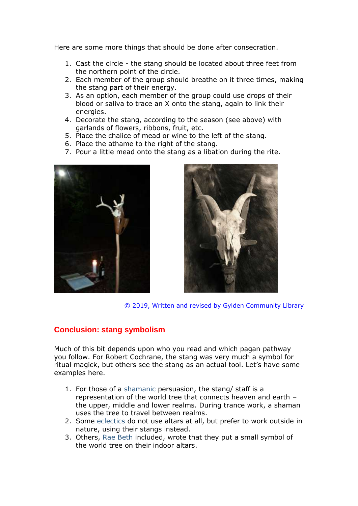Here are some more things that should be done after consecration.

- 1. Cast the circle the stang should be located about three feet from the northern point of the circle.
- 2. Each member of the group should breathe on it three times, making the stang part of their energy.
- 3. As an option, each member of the group could use drops of their blood or saliva to trace an X onto the stang, again to link their energies.
- 4. Decorate the stang, according to the season (see above) with garlands of flowers, ribbons, fruit, etc.
- 5. Place the chalice of mead or wine to the left of the stang.
- 6. Place the athame to the right of the stang.
- 7. Pour a little mead onto the stang as a libation during the rite.





© 2019, Written and revised by Gylden Community Library

### **Conclusion: stang symbolism**

Much of this bit depends upon who you read and which pagan pathway you follow. For Robert Cochrane, the stang was very much a symbol for ritual magick, but others see the stang as an actual tool. Let's have some examples here.

- 1. For those of a shamanic persuasion, the stang/ staff is a representation of the world tree that connects heaven and earth – the upper, middle and lower realms. During trance work, a shaman uses the tree to travel between realms.
- 2. Some eclectics do not use altars at all, but prefer to work outside in nature, using their stangs instead.
- 3. Others, Rae Beth included, wrote that they put a small symbol of the world tree on their indoor altars.